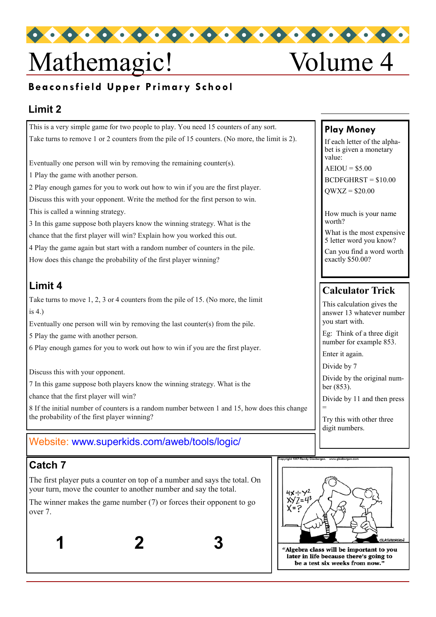# Mathemagic! Volume 4

# **Beaconsfield Upper Primary School**

#### **Limit 2**

This is a very simple game for two people to play. You need 15 counters of any sort. Take turns to remove 1 or 2 counters from the pile of 15 counters. (No more, the limit is 2).

Eventually one person will win by removing the remaining counter(s).

1 Play the game with another person.

2 Play enough games for you to work out how to win if you are the first player. Discuss this with your opponent. Write the method for the first person to win. This is called a winning strategy.

3 In this game suppose both players know the winning strategy. What is the chance that the first player will win? Explain how you worked this out. 4 Play the game again but start with a random number of counters in the pile. How does this change the probability of the first player winning?

# **Limit 4**

Take turns to move 1, 2, 3 or 4 counters from the pile of 15. (No more, the limit is 4.)

Eventually one person will win by removing the last counter(s) from the pile.

5 Play the game with another person.

6 Play enough games for you to work out how to win if you are the first player.

Discuss this with your opponent.

7 In this game suppose both players know the winning strategy. What is the

chance that the first player will win?

8 If the initial number of counters is a random number between 1 and 15, how does this change the probability of the first player winning?

#### Website: www.superkids.com/aweb/tools/logic/

# **Catch 7**

The first player puts a counter on top of a number and says the total. On your turn, move the counter to another number and say the total.

The winner makes the game number (7) or forces their opponent to go over 7.

**1 2 3**

#### **Play Money**

If each letter of the alphabet is given a monetary value:

 $AEIOU = $5.00$ 

 $BCDFGHRST = $10.00$ 

 $OWXZ = $20.00$ 

How much is your name worth?

What is the most expensive 5 letter word you know?

Can you find a word worth exactly \$50.00?

# **Calculator Trick**

This calculation gives the answer 13 whatever number you start with.

Eg: Think of a three digit number for example 853.

Enter it again.

Divide by 7

Divide by the original number (853).

Divide by 11 and then press =

Try this with other three digit numbers.